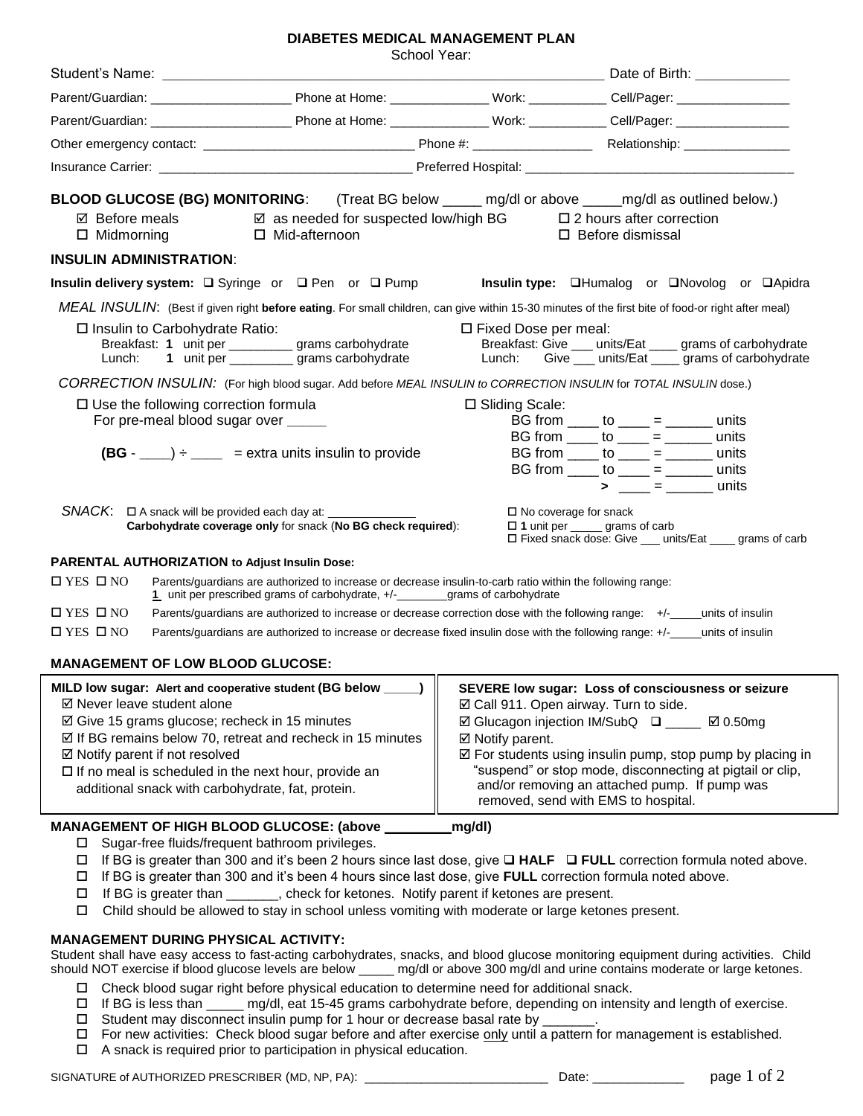## **DIABETES MEDICAL MANAGEMENT PLAN**

School Year:

|                                                                                                                                                                                                                                                                                                                                                                                            | <b>SUIDOI TEAL</b>                                                                                                                                                                                                                                                                                         |                                                                                                                                                                                                                                                                                                                                                                                              |                                                                                                                                                                                                                                                                               |  |  |  |
|--------------------------------------------------------------------------------------------------------------------------------------------------------------------------------------------------------------------------------------------------------------------------------------------------------------------------------------------------------------------------------------------|------------------------------------------------------------------------------------------------------------------------------------------------------------------------------------------------------------------------------------------------------------------------------------------------------------|----------------------------------------------------------------------------------------------------------------------------------------------------------------------------------------------------------------------------------------------------------------------------------------------------------------------------------------------------------------------------------------------|-------------------------------------------------------------------------------------------------------------------------------------------------------------------------------------------------------------------------------------------------------------------------------|--|--|--|
|                                                                                                                                                                                                                                                                                                                                                                                            |                                                                                                                                                                                                                                                                                                            |                                                                                                                                                                                                                                                                                                                                                                                              |                                                                                                                                                                                                                                                                               |  |  |  |
|                                                                                                                                                                                                                                                                                                                                                                                            |                                                                                                                                                                                                                                                                                                            |                                                                                                                                                                                                                                                                                                                                                                                              |                                                                                                                                                                                                                                                                               |  |  |  |
|                                                                                                                                                                                                                                                                                                                                                                                            |                                                                                                                                                                                                                                                                                                            |                                                                                                                                                                                                                                                                                                                                                                                              |                                                                                                                                                                                                                                                                               |  |  |  |
|                                                                                                                                                                                                                                                                                                                                                                                            |                                                                                                                                                                                                                                                                                                            |                                                                                                                                                                                                                                                                                                                                                                                              |                                                                                                                                                                                                                                                                               |  |  |  |
|                                                                                                                                                                                                                                                                                                                                                                                            |                                                                                                                                                                                                                                                                                                            |                                                                                                                                                                                                                                                                                                                                                                                              |                                                                                                                                                                                                                                                                               |  |  |  |
| $\boxtimes$ Before meals $\boxtimes$ as needed for suspected low/high BG $\Box$ 2 hours after correction<br>$\Box$ Midmorning $\Box$ Mid-afternoon                                                                                                                                                                                                                                         |                                                                                                                                                                                                                                                                                                            |                                                                                                                                                                                                                                                                                                                                                                                              | BLOOD GLUCOSE (BG) MONITORING: (Treat BG below _____ mg/dl or above _____mg/dl as outlined below.)<br>$\Box$ Before dismissal                                                                                                                                                 |  |  |  |
| <b>INSULIN ADMINISTRATION:</b>                                                                                                                                                                                                                                                                                                                                                             |                                                                                                                                                                                                                                                                                                            |                                                                                                                                                                                                                                                                                                                                                                                              |                                                                                                                                                                                                                                                                               |  |  |  |
| Insulin delivery system: □ Syringe or □ Pen or □ Pump                                                                                                                                                                                                                                                                                                                                      |                                                                                                                                                                                                                                                                                                            |                                                                                                                                                                                                                                                                                                                                                                                              | Insulin type: <b>QHumalog</b> or <b>QNovolog</b> or <b>QApidra</b>                                                                                                                                                                                                            |  |  |  |
|                                                                                                                                                                                                                                                                                                                                                                                            |                                                                                                                                                                                                                                                                                                            |                                                                                                                                                                                                                                                                                                                                                                                              | MEAL INSULIN: (Best if given right before eating. For small children, can give within 15-30 minutes of the first bite of food-or right after meal)                                                                                                                            |  |  |  |
| $\Box$ Insulin to Carbohydrate Ratio:<br>Lunch:                                                                                                                                                                                                                                                                                                                                            | Breakfast: 1 unit per _________ grams carbohydrate<br>1 unit per ___________ grams carbohydrate                                                                                                                                                                                                            | $\Box$ Fixed Dose per meal:<br>Breakfast: Give ___ units/Eat ____ grams of carbohydrate<br>Lunch: Give ___ units/Eat ____ grams of carbohydrate                                                                                                                                                                                                                                              |                                                                                                                                                                                                                                                                               |  |  |  |
| CORRECTION INSULIN: (For high blood sugar. Add before MEAL INSULIN to CORRECTION INSULIN for TOTAL INSULIN dose.)                                                                                                                                                                                                                                                                          |                                                                                                                                                                                                                                                                                                            |                                                                                                                                                                                                                                                                                                                                                                                              |                                                                                                                                                                                                                                                                               |  |  |  |
| $\square$ Use the following correction formula<br>For pre-meal blood sugar over _____                                                                                                                                                                                                                                                                                                      | $(BG - ) \div$ = extra units insulin to provide                                                                                                                                                                                                                                                            | □ Sliding Scale:                                                                                                                                                                                                                                                                                                                                                                             | BG from _____ to ____ = _______ units<br>BG from $\frac{\ }{}$ to $\frac{\ }{}$ = $\frac{\ }{}$ = $\frac{\ }{}$ units<br>BG from _____ to ____ = ______ units<br>BG from $\rule{1em}{0.15mm}$ to $\rule{1em}{0.15mm}$ = $\rule{1em}{0.15mm}$ units<br>$>$ ___ = _______ units |  |  |  |
| SNACK: □ A snack will be provided each day at: ______________<br>□ No coverage for snack<br>Carbohydrate coverage only for snack (No BG check required):<br>$\Box$ 1 unit per _____ grams of carb<br>□ Fixed snack dose: Give __ units/Eat ___ grams of carb                                                                                                                               |                                                                                                                                                                                                                                                                                                            |                                                                                                                                                                                                                                                                                                                                                                                              |                                                                                                                                                                                                                                                                               |  |  |  |
| PARENTAL AUTHORIZATION to Adjust Insulin Dose:                                                                                                                                                                                                                                                                                                                                             |                                                                                                                                                                                                                                                                                                            |                                                                                                                                                                                                                                                                                                                                                                                              |                                                                                                                                                                                                                                                                               |  |  |  |
| $\Box$ YES $\Box$ NO                                                                                                                                                                                                                                                                                                                                                                       | Parents/guardians are authorized to increase or decrease insulin-to-carb ratio within the following range:<br>1 unit per prescribed grams of carbohydrate, +/-________grams of carbohydrate                                                                                                                |                                                                                                                                                                                                                                                                                                                                                                                              |                                                                                                                                                                                                                                                                               |  |  |  |
| $\Box$ YES $\Box$ NO                                                                                                                                                                                                                                                                                                                                                                       |                                                                                                                                                                                                                                                                                                            |                                                                                                                                                                                                                                                                                                                                                                                              | Parents/guardians are authorized to increase or decrease correction dose with the following range: +/-_____units of insulin                                                                                                                                                   |  |  |  |
| $\square$ YES $\square$ NO<br>Parents/guardians are authorized to increase or decrease fixed insulin dose with the following range: +/-<br>units of insulin                                                                                                                                                                                                                                |                                                                                                                                                                                                                                                                                                            |                                                                                                                                                                                                                                                                                                                                                                                              |                                                                                                                                                                                                                                                                               |  |  |  |
| <b>MANAGEMENT OF LOW BLOOD GLUCOSE:</b>                                                                                                                                                                                                                                                                                                                                                    |                                                                                                                                                                                                                                                                                                            |                                                                                                                                                                                                                                                                                                                                                                                              |                                                                                                                                                                                                                                                                               |  |  |  |
| MILD low sugar: Alert and cooperative student (BG below ____)  <br>☑ Never leave student alone<br>$\boxtimes$ Give 15 grams glucose; recheck in 15 minutes<br>$\boxtimes$ If BG remains below 70, retreat and recheck in 15 minutes<br>☑ Notify parent if not resolved<br>$\Box$ If no meal is scheduled in the next hour, provide an<br>additional snack with carbohydrate, fat, protein. |                                                                                                                                                                                                                                                                                                            | SEVERE low sugar: Loss of consciousness or seizure<br>☑ Call 911. Open airway. Turn to side.<br>☑ Glucagon injection IM/SubQ □ ___ Ø 0.50mg<br>$\boxtimes$ Notify parent.<br>☑ For students using insulin pump, stop pump by placing in<br>"suspend" or stop mode, disconnecting at pigtail or clip,<br>and/or removing an attached pump. If pump was<br>removed, send with EMS to hospital. |                                                                                                                                                                                                                                                                               |  |  |  |
| MANAGEMENT OF HIGH BLOOD GLUCOSE: (above _                                                                                                                                                                                                                                                                                                                                                 |                                                                                                                                                                                                                                                                                                            | mg/dl)                                                                                                                                                                                                                                                                                                                                                                                       |                                                                                                                                                                                                                                                                               |  |  |  |
| Sugar-free fluids/frequent bathroom privileges.<br>□<br>$\Box$<br>□<br>□                                                                                                                                                                                                                                                                                                                   | If BG is greater than 300 and it's been 4 hours since last dose, give FULL correction formula noted above.<br>If BG is greater than _______, check for ketones. Notify parent if ketones are present.<br>Child should be allowed to stay in school unless vomiting with moderate or large ketones present. |                                                                                                                                                                                                                                                                                                                                                                                              | If BG is greater than 300 and it's been 2 hours since last dose, give $\Box$ HALF $\Box$ FULL correction formula noted above.                                                                                                                                                 |  |  |  |
| <b>MANAGEMENT DURING PHYSICAL ACTIVITY:</b>                                                                                                                                                                                                                                                                                                                                                |                                                                                                                                                                                                                                                                                                            |                                                                                                                                                                                                                                                                                                                                                                                              |                                                                                                                                                                                                                                                                               |  |  |  |

Student shall have easy access to fast-acting carbohydrates, snacks, and blood glucose monitoring equipment during activities. Child should NOT exercise if blood glucose levels are below \_\_\_\_\_ mg/dl or above 300 mg/dl and urine contains moderate or large ketones.

- Check blood sugar right before physical education to determine need for additional snack.
- If BG is less than \_\_\_\_\_ mg/dl, eat 15-45 grams carbohydrate before, depending on intensity and length of exercise.
- $\square$  Student may disconnect insulin pump for 1 hour or decrease basal rate by  $\square$
- □ For new activities: Check blood sugar before and after exercise only until a pattern for management is established.  $\Box$  A snack is required prior to participation in physical education.
- SIGNATURE of AUTHORIZED PRESCRIBER (MD, NP, PA): \_\_\_\_\_\_\_\_\_\_\_\_\_\_\_\_\_\_\_\_\_\_\_\_\_\_\_\_\_\_\_\_ Date: \_\_\_\_\_\_\_\_\_\_\_\_\_\_\_\_\_\_\_ page 1 of 2